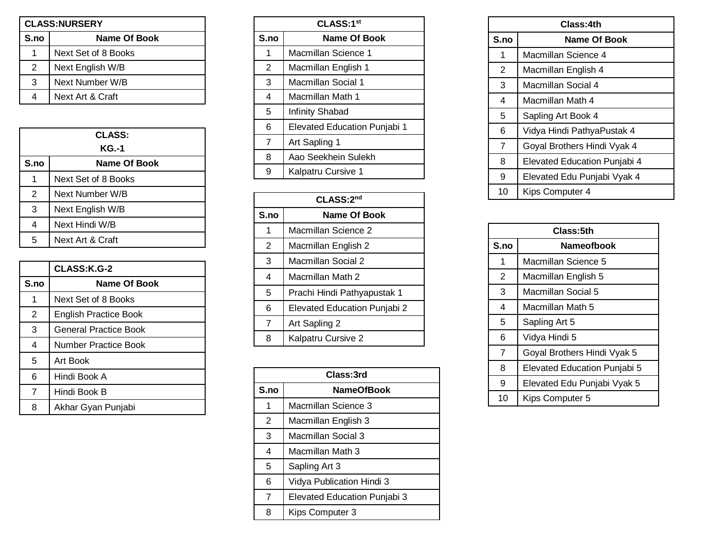| <b>CLASS:NURSERY</b> |                     |
|----------------------|---------------------|
| S.no                 | Name Of Book        |
|                      | Next Set of 8 Books |
| 2                    | Next English W/B    |
| 3                    | Next Number W/B     |
| 4                    | Next Art & Craft    |

| <b>CLASS:</b>  |                     |
|----------------|---------------------|
| KG.-1          |                     |
| S.no           | <b>Name Of Book</b> |
| 1              | Next Set of 8 Books |
| $\overline{2}$ | Next Number W/B     |
| 3              | Next English W/B    |
| 4              | Next Hindi W/B      |
| 5              | Next Art & Craft    |

|      | CLASS:K.G-2                  |
|------|------------------------------|
| S.no | Name Of Book                 |
| 1    | Next Set of 8 Books          |
| 2    | <b>English Practice Book</b> |
| 3    | General Practice Book        |
| 4    | Number Practice Book         |
| 5    | Art Book                     |
| 6    | Hindi Book A                 |
| 7    | Hindi Book B                 |
| 8    | Akhar Gyan Punjabi           |

| CLASS:1 <sup>st</sup> |                                     |
|-----------------------|-------------------------------------|
| S.no                  | <b>Name Of Book</b>                 |
| 1                     | Macmillan Science 1                 |
| 2                     | Macmillan English 1                 |
| 3                     | Macmillan Social 1                  |
| 4                     | Macmillan Math 1                    |
| 5                     | <b>Infinity Shabad</b>              |
| 6                     | <b>Elevated Education Punjabi 1</b> |
| 7                     | Art Sapling 1                       |
| 8                     | Aao Seekhein Sulekh                 |
| 9                     | Kalpatru Cursive 1                  |
|                       |                                     |

| CLASS:2nd      |                                     |
|----------------|-------------------------------------|
| S.no           | Name Of Book                        |
| 1              | Macmillan Science 2                 |
| 2              | Macmillan English 2                 |
| 3              | Macmillan Social 2                  |
| $\overline{4}$ | Macmillan Math 2                    |
| 5              | Prachi Hindi Pathyapustak 1         |
| 6              | <b>Elevated Education Punjabi 2</b> |
| $\overline{7}$ | Art Sapling 2                       |
| 8              | Kalpatru Cursive 2                  |

| Class:3rd |                                     |
|-----------|-------------------------------------|
| S.no      | <b>NameOfBook</b>                   |
| 1         | Macmillan Science 3                 |
| 2         | Macmillan English 3                 |
| 3         | Macmillan Social 3                  |
| 4         | Macmillan Math 3                    |
| 5         | Sapling Art 3                       |
| 6         | Vidya Publication Hindi 3           |
| 7         | <b>Elevated Education Punjabi 3</b> |
| 8         | Kips Computer 3                     |

| Class:4th      |                                     |
|----------------|-------------------------------------|
| S.no           | <b>Name Of Book</b>                 |
| 1              | Macmillan Science 4                 |
| 2              | Macmillan English 4                 |
| 3              | Macmillan Social 4                  |
| 4              | Macmillan Math 4                    |
| 5              | Sapling Art Book 4                  |
| 6              | Vidya Hindi PathyaPustak 4          |
| $\overline{7}$ | Goyal Brothers Hindi Vyak 4         |
| 8              | <b>Elevated Education Punjabi 4</b> |
| 9              | Elevated Edu Punjabi Vyak 4         |
| 10             | Kips Computer 4                     |

| Class:5th      |                                     |
|----------------|-------------------------------------|
| S.no           | <b>Nameofbook</b>                   |
| 1              | Macmillan Science 5                 |
| 2              | Macmillan English 5                 |
| 3              | Macmillan Social 5                  |
| 4              | Macmillan Math 5                    |
| 5              | Sapling Art 5                       |
| 6              | Vidya Hindi 5                       |
| $\overline{7}$ | Goyal Brothers Hindi Vyak 5         |
| 8              | <b>Elevated Education Punjabi 5</b> |
| 9              | Elevated Edu Punjabi Vyak 5         |
| 10             | Kips Computer 5                     |